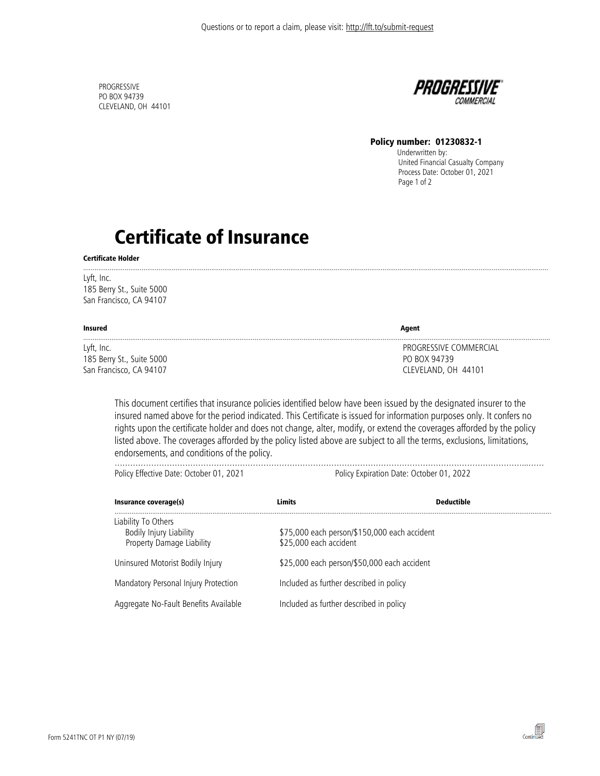PROGRESSIVE PO BOX 94739 CLEVELAND, OH 44101



### Policy number: 01230832-1

 Underwritten by: United Financial Casualty Company Process Date: October 01, 2021 Page 1 of 2

# Certificate of Insurance

#### Certificate Holder

Lyft, Inc. 185 Berry St., Suite 5000 San Francisco, CA 94107

| Insured                   | Agent                  |
|---------------------------|------------------------|
| Lyft, Inc.                | PROGRESSIVE COMMERCIAL |
| 185 Berry St., Suite 5000 | PO BOX 94739           |
| San Francisco, CA 94107   | CLEVELAND, OH 44101    |

.......................................................................................................................................................................................................................................................

This document certifies that insurance policies identified below have been issued by the designated insurer to the insured named above for the period indicated. This Certificate is issued for information purposes only. It confers no rights upon the certificate holder and does not change, alter, modify, or extend the coverages afforded by the policy listed above. The coverages afforded by the policy listed above are subject to all the terms, exclusions, limitations, endorsements, and conditions of the policy.

…………………………………………………………………………………………………………………………………………...……

Policy Effective Date: October 01, 2021 Policy Expiration Date: October 01, 2022

 $\begin{tabular}{c} \hline \quad \quad & \quad \quad & \quad \quad \\ \hline \quad \quad & \quad \quad \\ \text{Continued} \end{tabular}$ 

| Insurance coverage(s)                                                       | Limits                                                                 | <b>Deductible</b> |
|-----------------------------------------------------------------------------|------------------------------------------------------------------------|-------------------|
| Liability To Others<br>Bodily Injury Liability<br>Property Damage Liability | \$75,000 each person/\$150,000 each accident<br>\$25,000 each accident |                   |
| Uninsured Motorist Bodily Injury                                            | \$25,000 each person/\$50,000 each accident                            |                   |
| Mandatory Personal Injury Protection                                        | Included as further described in policy                                |                   |
| Aggregate No-Fault Benefits Available                                       | Included as further described in policy                                |                   |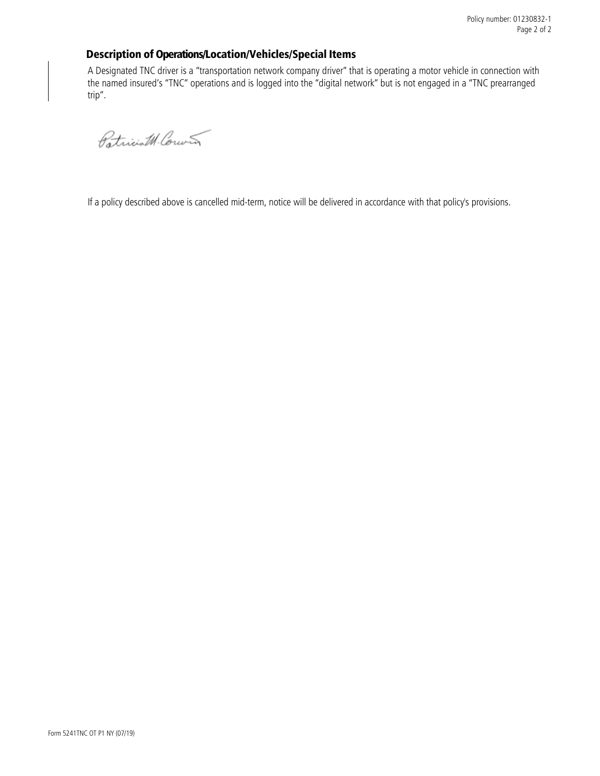## Description of Operations/Location/Vehicles/Special Items

A Designated TNC driver is a "transportation network company driver" that is operating a motor vehicle in connection with the named insured's "TNC" operations and is logged into the "digital network" but is not engaged in a "TNC prearranged trip".

Patriciat Couver

If a policy described above is cancelled mid-term, notice will be delivered in accordance with that policy's provisions.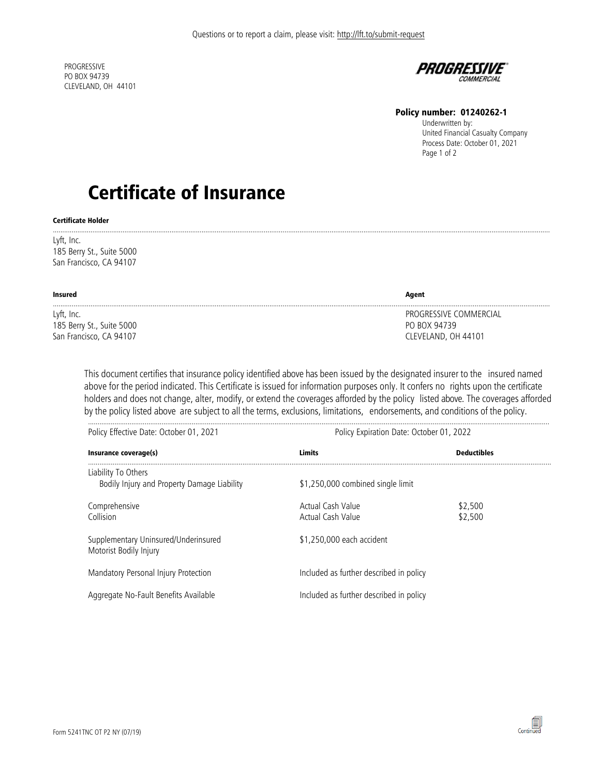PROGRESSIVE PO BOX 94739 CLEVELAND, OH 44101



### Policy number: 01240262-1

Underwritten by: United Financial Casualty Company Process Date: October 01, 2021 Page 1 of 2

# Certificate of Insurance

#### Certificate Holder

........................................................................................................................................................................................................................................................................ Lyft, Inc. 185 Berry St., Suite 5000 San Francisco, CA 94107

| Insured                   | Agent                  |
|---------------------------|------------------------|
| Lyft, Inc.                | PROGRESSIVE COMMERCIAL |
| 185 Berry St., Suite 5000 | PO BOX 94739           |
| San Francisco, CA 94107   | CLEVELAND, OH 44101    |

This document certifies that insurance policy identified above has been issued by the designated insurer to the insured named above for the period indicated. This Certificate is issued for information purposes only. It confers no rights upon the certificate holders and does not change, alter, modify, or extend the coverages afforded by the policy listed above. The coverages afforded by the policy listed above are subject to all the terms, exclusions, limitations, endorsements, and conditions of the policy.

| Policy Effective Date: October 01, 2021                            | Policy Expiration Date: October 01, 2022 |                    |  |  |
|--------------------------------------------------------------------|------------------------------------------|--------------------|--|--|
| Insurance coverage(s)                                              | Limits                                   | <b>Deductibles</b> |  |  |
| Liability To Others<br>Bodily Injury and Property Damage Liability | \$1,250,000 combined single limit        |                    |  |  |
| Comprehensive<br>Collision                                         | Actual Cash Value<br>Actual Cash Value   | \$2,500<br>\$2,500 |  |  |
| Supplementary Uninsured/Underinsured<br>Motorist Bodily Injury     | \$1,250,000 each accident                |                    |  |  |
| Mandatory Personal Injury Protection                               | Included as further described in policy  |                    |  |  |
| Aggregate No-Fault Benefits Available                              | Included as further described in policy  |                    |  |  |